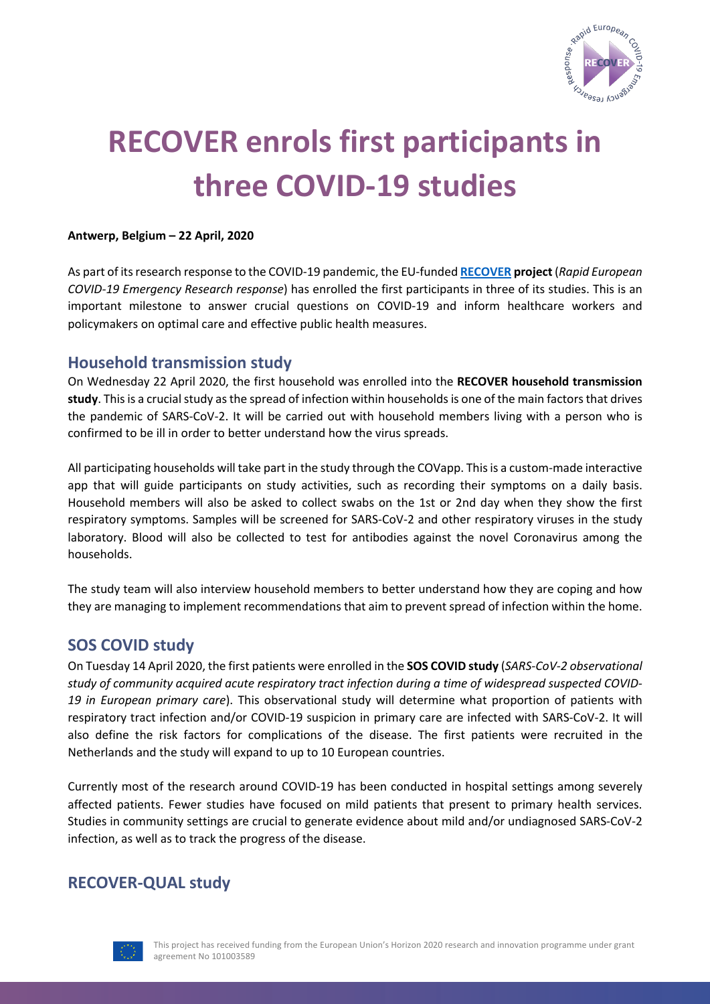

# **RECOVER enrols first participants in three COVID-19 studies**

#### **Antwerp, Belgium – 22 April, 2020**

As part of its research response to the COVID-19 pandemic, the EU-funded **RECOVER project** (*Rapid European COVID-19 Emergency Research response*) has enrolled the first participants in three of its studies. This is an important milestone to answer crucial questions on COVID-19 and inform healthcare workers and policymakers on optimal care and effective public health measures.

## **Household transmission study**

On Wednesday 22 April 2020, the first household was enrolled into the **RECOVER household transmission study**. This is a crucial study as the spread of infection within households is one of the main factors that drives the pandemic of SARS-CoV-2. It will be carried out with household members living with a person who is confirmed to be ill in order to better understand how the virus spreads.

All participating households will take part in the study through the COVapp. This is a custom-made interactive app that will guide participants on study activities, such as recording their symptoms on a daily basis. Household members will also be asked to collect swabs on the 1st or 2nd day when they show the first respiratory symptoms. Samples will be screened for SARS-CoV-2 and other respiratory viruses in the study laboratory. Blood will also be collected to test for antibodies against the novel Coronavirus among the households.

The study team will also interview household members to better understand how they are coping and how they are managing to implement recommendations that aim to prevent spread of infection within the home.

## **SOS COVID study**

On Tuesday 14 April 2020, the first patients were enrolled in the **SOS COVID study** (*SARS-CoV-2 observational study of community acquired acute respiratory tract infection during a time of widespread suspected COVID-19 in European primary care*). This observational study will determine what proportion of patients with respiratory tract infection and/or COVID-19 suspicion in primary care are infected with SARS-CoV-2. It will also define the risk factors for complications of the disease. The first patients were recruited in the Netherlands and the study will expand to up to 10 European countries.

Currently most of the research around COVID-19 has been conducted in hospital settings among severely affected patients. Fewer studies have focused on mild patients that present to primary health services. Studies in community settings are crucial to generate evidence about mild and/or undiagnosed SARS-CoV-2 infection, as well as to track the progress of the disease.

## **RECOVER-QUAL study**